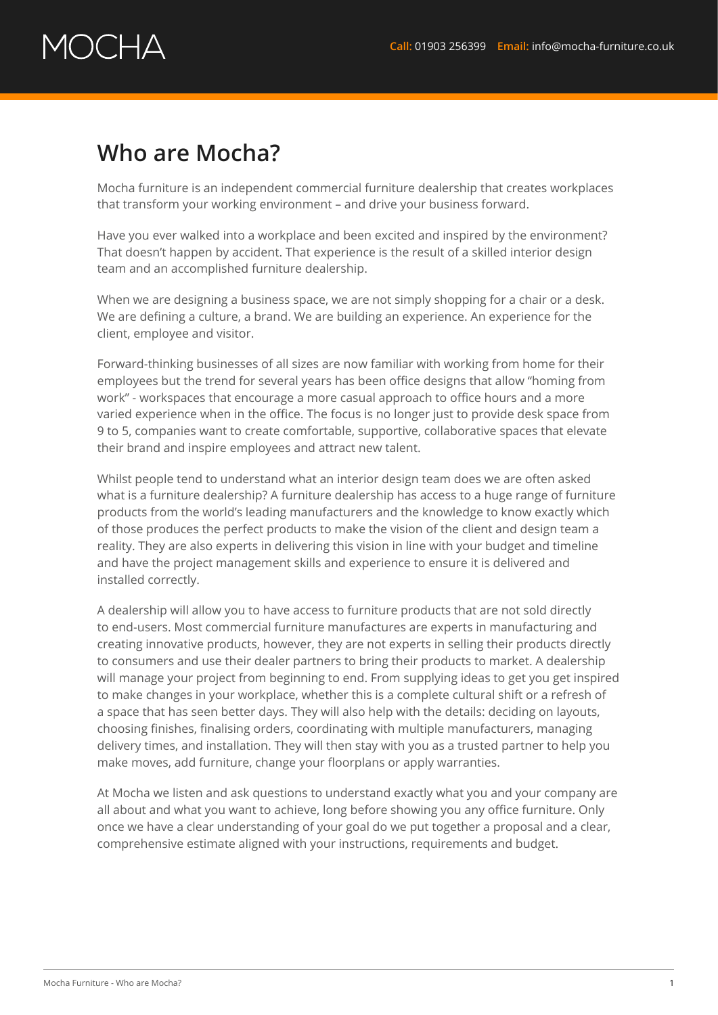## $\lambda$   $\rightarrow$   $\lambda$

## **Who are Mocha?**

Mocha furniture is an independent commercial furniture dealership that creates workplaces that transform your working environment – and drive your business forward.

Have you ever walked into a workplace and been excited and inspired by the environment? That doesn't happen by accident. That experience is the result of a skilled interior design team and an accomplished furniture dealership.

When we are designing a business space, we are not simply shopping for a chair or a desk. We are defining a culture, a brand. We are building an experience. An experience for the client, employee and visitor.

Forward-thinking businesses of all sizes are now familiar with working from home for their employees but the trend for several years has been office designs that allow "homing from work" - workspaces that encourage a more casual approach to office hours and a more varied experience when in the office. The focus is no longer just to provide desk space from 9 to 5, companies want to create comfortable, supportive, collaborative spaces that elevate their brand and inspire employees and attract new talent.

Whilst people tend to understand what an interior design team does we are often asked what is a furniture dealership? A furniture dealership has access to a huge range of furniture products from the world's leading manufacturers and the knowledge to know exactly which of those produces the perfect products to make the vision of the client and design team a reality. They are also experts in delivering this vision in line with your budget and timeline and have the project management skills and experience to ensure it is delivered and installed correctly.

A dealership will allow you to have access to furniture products that are not sold directly to end-users. Most commercial furniture manufactures are experts in manufacturing and creating innovative products, however, they are not experts in selling their products directly to consumers and use their dealer partners to bring their products to market. A dealership will manage your project from beginning to end. From supplying ideas to get you get inspired to make changes in your workplace, whether this is a complete cultural shift or a refresh of a space that has seen better days. They will also help with the details: deciding on layouts, choosing finishes, finalising orders, coordinating with multiple manufacturers, managing delivery times, and installation. They will then stay with you as a trusted partner to help you make moves, add furniture, change your floorplans or apply warranties.

At Mocha we listen and ask questions to understand exactly what you and your company are all about and what you want to achieve, long before showing you any office furniture. Only once we have a clear understanding of your goal do we put together a proposal and a clear, comprehensive estimate aligned with your instructions, requirements and budget.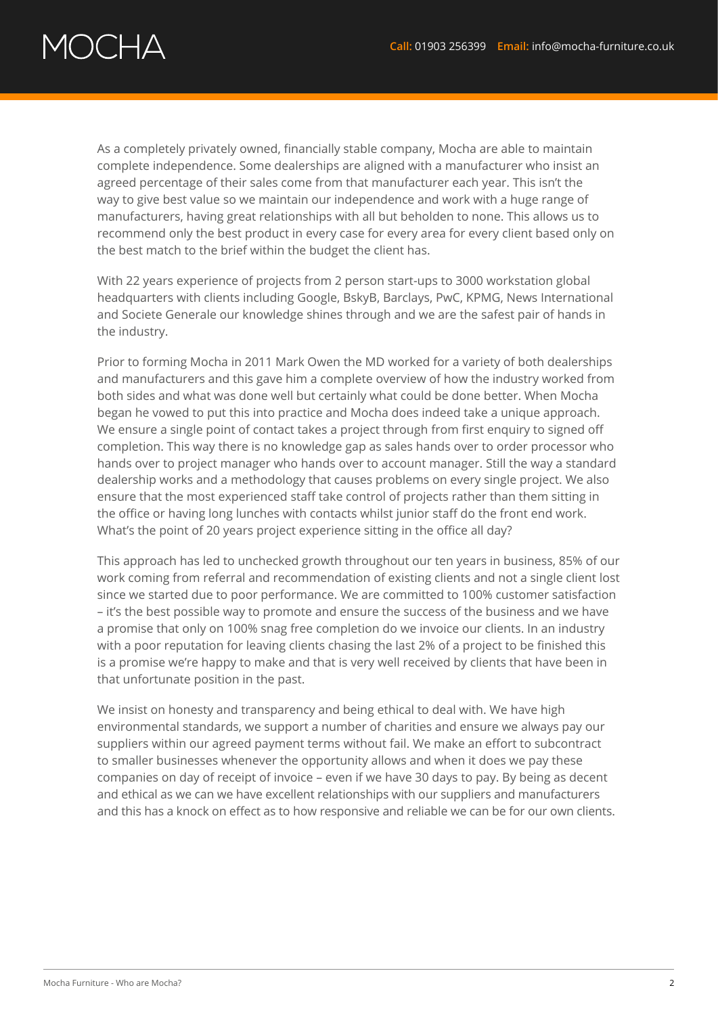## $\bigcap C \square \triangle$

As a completely privately owned, financially stable company, Mocha are able to maintain complete independence. Some dealerships are aligned with a manufacturer who insist an agreed percentage of their sales come from that manufacturer each year. This isn't the way to give best value so we maintain our independence and work with a huge range of manufacturers, having great relationships with all but beholden to none. This allows us to recommend only the best product in every case for every area for every client based only on the best match to the brief within the budget the client has.

With 22 years experience of projects from 2 person start-ups to 3000 workstation global headquarters with clients including Google, BskyB, Barclays, PwC, KPMG, News International and Societe Generale our knowledge shines through and we are the safest pair of hands in the industry.

Prior to forming Mocha in 2011 Mark Owen the MD worked for a variety of both dealerships and manufacturers and this gave him a complete overview of how the industry worked from both sides and what was done well but certainly what could be done better. When Mocha began he vowed to put this into practice and Mocha does indeed take a unique approach. We ensure a single point of contact takes a project through from first enquiry to signed off completion. This way there is no knowledge gap as sales hands over to order processor who hands over to project manager who hands over to account manager. Still the way a standard dealership works and a methodology that causes problems on every single project. We also ensure that the most experienced staff take control of projects rather than them sitting in the office or having long lunches with contacts whilst junior staff do the front end work. What's the point of 20 years project experience sitting in the office all day?

This approach has led to unchecked growth throughout our ten years in business, 85% of our work coming from referral and recommendation of existing clients and not a single client lost since we started due to poor performance. We are committed to 100% customer satisfaction – it's the best possible way to promote and ensure the success of the business and we have a promise that only on 100% snag free completion do we invoice our clients. In an industry with a poor reputation for leaving clients chasing the last 2% of a project to be finished this is a promise we're happy to make and that is very well received by clients that have been in that unfortunate position in the past.

We insist on honesty and transparency and being ethical to deal with. We have high environmental standards, we support a number of charities and ensure we always pay our suppliers within our agreed payment terms without fail. We make an effort to subcontract to smaller businesses whenever the opportunity allows and when it does we pay these companies on day of receipt of invoice – even if we have 30 days to pay. By being as decent and ethical as we can we have excellent relationships with our suppliers and manufacturers and this has a knock on effect as to how responsive and reliable we can be for our own clients.